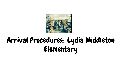

# Arrival Procedures: Lydia Middleton Elementary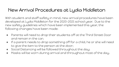### New Arrival Procedures at Lydia Middleton

With student and staff safety in mind, new arrival procedures have been developed at Lydia Middleton for the 2020-2021 school year. Due to the new safety guidelines which have been implemented this year, the following changes have been made:

- Parents will need to drop their students off at the Third Street Door and remain in the car;
- If a parent needs to drop something off for a child, he or she will need to give the item to the person at the door;
- Social Distancing will be followed throughout the day;
- Masks will be worn during arrival and throughout most of the day.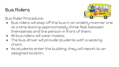#### Bus Riders

Bus Rider Procedure:



- Bus riders will step off the bus in an orderly manner one at a time leaving approximately three feet between themselves and the person in front of them;
- All bus riders will wear masks;
- The bus driver will provide students with a seating chart;
- As students enter the building, they will report to an assigned location.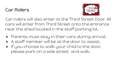#### Car Riders



Car riders will also enter at the Third Street Door. All cars will enter from Third Street onto the entrance near the shed located in the staff parking lot.

- Parents must stay in their cars during arrival;
- A staff member will be at the door to assist:
- If you choose to walk your child to the door, please park on a side street and walk.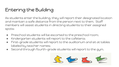# Entering the Building

As students enter the building, they will report their designated location and maintain a safe distance from the person next to them. Staff members will assist students in directing students to their assigned spots:

- Preschool students will be escorted to the preschool room;
- Kindergarten students will report to the cafeteria;
- First-grade students will report to the auditorium and sit at tables labeled by teacher names;
- Second through fourth-grade students will report to the gym.